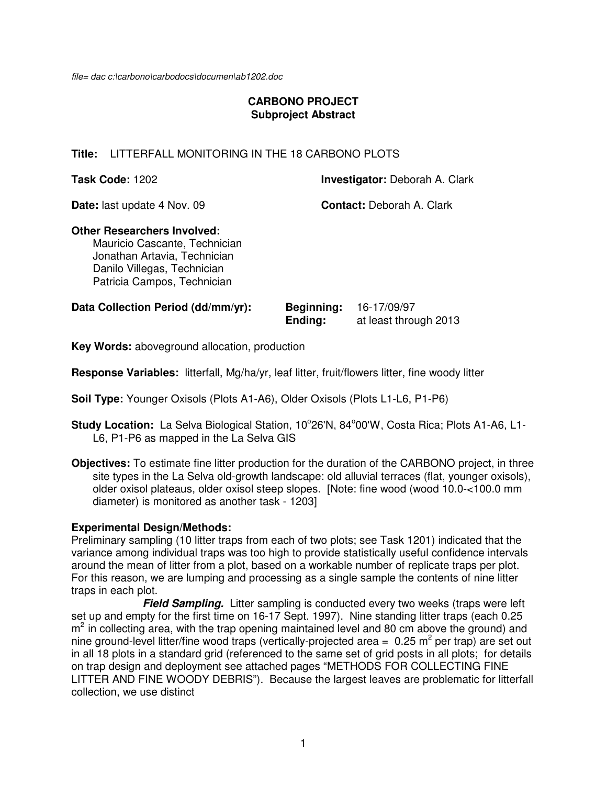## **CARBONO PROJECT Subproject Abstract**

**Title:** LITTERFALL MONITORING IN THE 18 CARBONO PLOTS

**Task Code:** 1202 **Investigator:** Deborah A. Clark

**Date:** last update 4 Nov. 09 **Contact:** Deborah A. Clark

## **Other Researchers Involved:**

 Mauricio Cascante, Technician Jonathan Artavia, Technician Danilo Villegas, Technician Patricia Campos, Technician

| Data Collection Period (dd/mm/yr): | <b>Beginning:</b> | 16-17/09/97           |
|------------------------------------|-------------------|-----------------------|
|                                    | Ending:           | at least through 2013 |

**Key Words:** aboveground allocation, production

**Response Variables:** litterfall, Mg/ha/yr, leaf litter, fruit/flowers litter, fine woody litter

**Soil Type:** Younger Oxisols (Plots A1-A6), Older Oxisols (Plots L1-L6, P1-P6)

- Study Location: La Selva Biological Station, 10°26'N, 84°00'W, Costa Rica; Plots A1-A6, L1-L6, P1-P6 as mapped in the La Selva GIS
- **Objectives:** To estimate fine litter production for the duration of the CARBONO project, in three site types in the La Selva old-growth landscape: old alluvial terraces (flat, younger oxisols), older oxisol plateaus, older oxisol steep slopes. [Note: fine wood (wood 10.0-<100.0 mm diameter) is monitored as another task - 1203]

## **Experimental Design/Methods:**

Preliminary sampling (10 litter traps from each of two plots; see Task 1201) indicated that the variance among individual traps was too high to provide statistically useful confidence intervals around the mean of litter from a plot, based on a workable number of replicate traps per plot. For this reason, we are lumping and processing as a single sample the contents of nine litter traps in each plot.

 **Field Sampling.** Litter sampling is conducted every two weeks (traps were left set up and empty for the first time on 16-17 Sept. 1997). Nine standing litter traps (each 0.25  $m<sup>2</sup>$  in collecting area, with the trap opening maintained level and 80 cm above the ground) and nine ground-level litter/fine wood traps (vertically-projected area =  $0.25 \text{ m}^2$  per trap) are set out in all 18 plots in a standard grid (referenced to the same set of grid posts in all plots; for details on trap design and deployment see attached pages "METHODS FOR COLLECTING FINE LITTER AND FINE WOODY DEBRIS"). Because the largest leaves are problematic for litterfall collection, we use distinct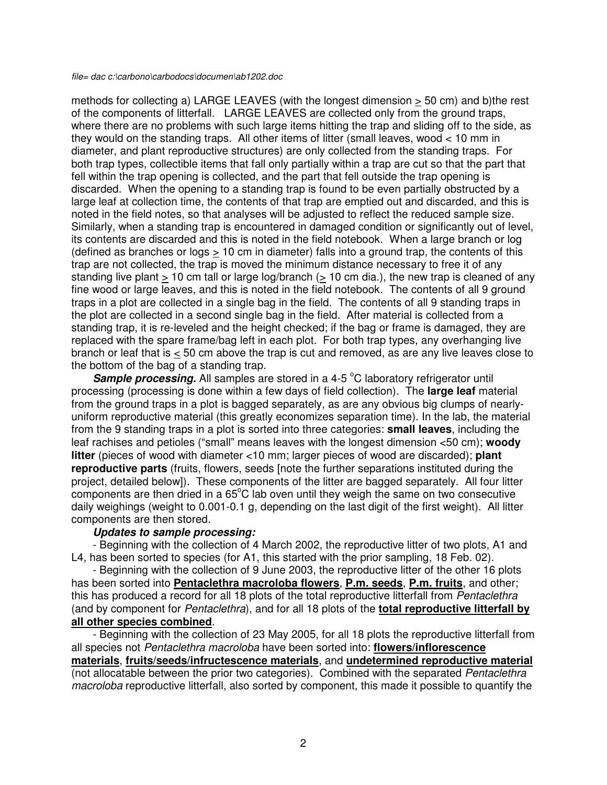methods for collecting a) LARGE LEAVES (with the longest dimension > 50 cm) and b)the rest of the components of litterfall. LARGE LEAVES are collected only from the ground traps, where there are no problems with such large items hitting the trap and sliding off to the side, as they would on the standing traps. All other items of litter (small leaves, wood < 10 mm in diameter, and plant reproductive structures) are only collected from the standing traps. For both trap types, collectible items that fall only partially within a trap are cut so that the part that fell within the trap opening is collected, and the part that fell outside the trap opening is discarded. When the opening to a standing trap is found to be even partially obstructed by a large leaf at collection time, the contents of that trap are emptied out and discarded, and this is noted in the field notes, so that analyses will be adjusted to reflect the reduced sample size. Similarly, when a standing trap is encountered in damaged condition or significantly out of level, its contents are discarded and this is noted in the field notebook. When a large branch or log (defined as branches or logs > 10 cm in diameter) falls into a ground trap, the contents of this trap are not collected, the trap is moved the minimum distance necessary to free it of any standing live plant  $> 10$  cm tall or large log/branch ( $> 10$  cm dia.), the new trap is cleaned of any fine wood or large leaves, and this is noted in the field notebook. The contents of all 9 ground traps in a plot are collected in a single bag in the field. The contents of all 9 standing traps in the plot are collected in a second single bag in the field. After material is collected from a standing trap, it is re-leveled and the height checked; if the bag or frame is damaged, they are replaced with the spare frame/bag left in each plot. For both trap types, any overhanging live branch or leaf that is < 50 cm above the trap is cut and removed, as are any live leaves close to the bottom of the bag of a standing trap.

**Sample processing.** All samples are stored in a 4-5 °C laboratory refrigerator until processing (processing is done within a few days of field collection). The **large leaf** material from the ground traps in a plot is bagged separately, as are any obvious big clumps of nearlyuniform reproductive material (this greatly economizes separation time). In the lab, the material from the 9 standing traps in a plot is sorted into three categories: **small leaves**, including the leaf rachises and petioles ("small" means leaves with the longest dimension <50 cm); **woody litter** (pieces of wood with diameter <10 mm; larger pieces of wood are discarded); **plant reproductive parts** (fruits, flowers, seeds [note the further separations instituted during the project, detailed below]). These components of the litter are bagged separately. All four litter components are then dried in a  $65^{\circ}$ C lab oven until they weigh the same on two consecutive daily weighings (weight to 0.001-0.1 g, depending on the last digit of the first weight). All litter components are then stored.

#### **Updates to sample processing:**

 - Beginning with the collection of 4 March 2002, the reproductive litter of two plots, A1 and L4, has been sorted to species (for A1, this started with the prior sampling, 18 Feb. 02).

 - Beginning with the collection of 9 June 2003, the reproductive litter of the other 16 plots has been sorted into **Pentaclethra macroloba flowers**, **P.m. seeds**, **P.m. fruits**, and other; this has produced a record for all 18 plots of the total reproductive litterfall from Pentaclethra (and by component for Pentaclethra), and for all 18 plots of the **total reproductive litterfall by all other species combined**.

 - Beginning with the collection of 23 May 2005, for all 18 plots the reproductive litterfall from all species not Pentaclethra macroloba have been sorted into: **flowers/inflorescence materials**, **fruits/seeds/infructescence materials**, and **undetermined reproductive material** (not allocatable between the prior two categories). Combined with the separated Pentaclethra macroloba reproductive litterfall, also sorted by component, this made it possible to quantify the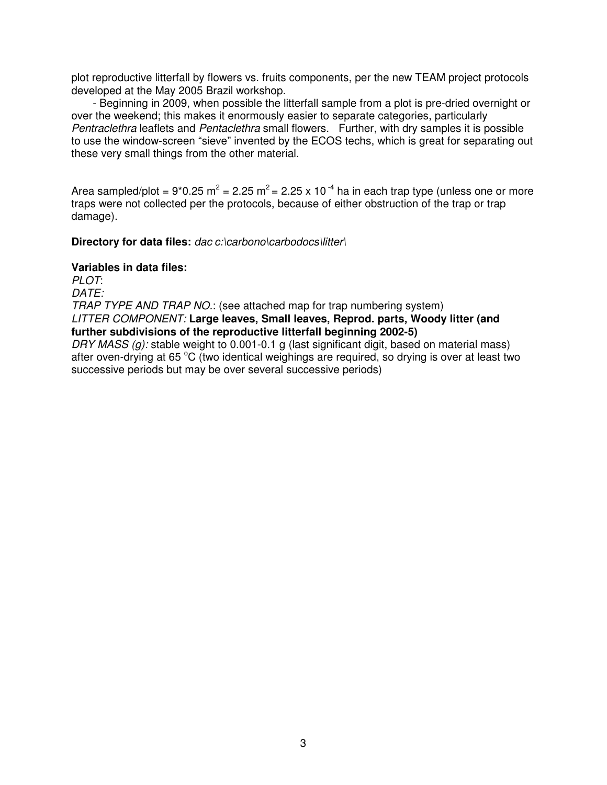plot reproductive litterfall by flowers vs. fruits components, per the new TEAM project protocols developed at the May 2005 Brazil workshop.

 - Beginning in 2009, when possible the litterfall sample from a plot is pre-dried overnight or over the weekend; this makes it enormously easier to separate categories, particularly Pentraclethra leaflets and Pentaclethra small flowers. Further, with dry samples it is possible to use the window-screen "sieve" invented by the ECOS techs, which is great for separating out these very small things from the other material.

Area sampled/plot = 9\*0.25 m<sup>2</sup> = 2.25 m<sup>2</sup> = 2.25 x 10<sup>-4</sup> ha in each trap type (unless one or more traps were not collected per the protocols, because of either obstruction of the trap or trap damage).

#### **Directory for data files:** dac c:\carbono\carbodocs\litter\

#### **Variables in data files:**

 $PIOT:$ DATE: TRAP TYPE AND TRAP NO.: (see attached map for trap numbering system) LITTER COMPONENT: **Large leaves, Small leaves, Reprod. parts, Woody litter (and further subdivisions of the reproductive litterfall beginning 2002-5)** 

DRY MASS (q): stable weight to 0.001-0.1 g (last significant digit, based on material mass) after oven-drying at 65  $\degree$ C (two identical weighings are required, so drying is over at least two successive periods but may be over several successive periods)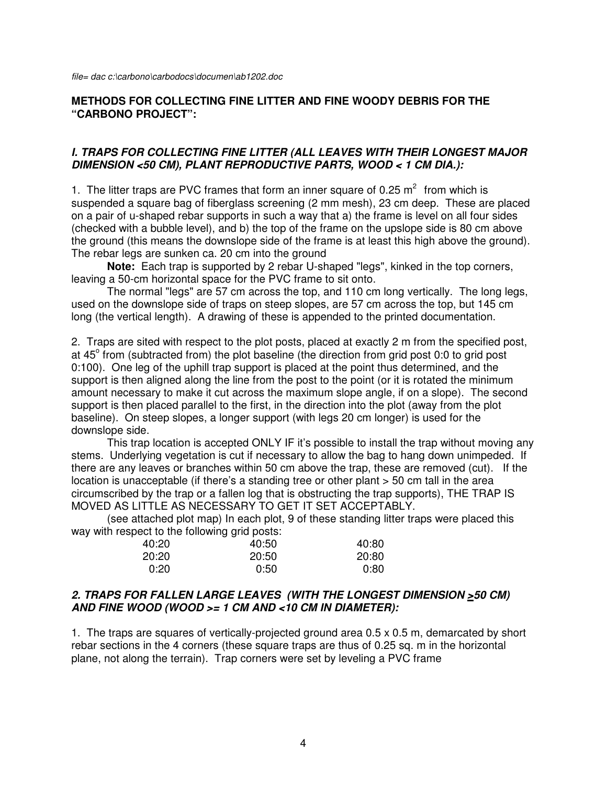## **METHODS FOR COLLECTING FINE LITTER AND FINE WOODY DEBRIS FOR THE "CARBONO PROJECT":**

## **I. TRAPS FOR COLLECTING FINE LITTER (ALL LEAVES WITH THEIR LONGEST MAJOR DIMENSION <50 CM), PLANT REPRODUCTIVE PARTS, WOOD < 1 CM DIA.):**

1. The litter traps are PVC frames that form an inner square of 0.25  $m^2$  from which is suspended a square bag of fiberglass screening (2 mm mesh), 23 cm deep. These are placed on a pair of u-shaped rebar supports in such a way that a) the frame is level on all four sides (checked with a bubble level), and b) the top of the frame on the upslope side is 80 cm above the ground (this means the downslope side of the frame is at least this high above the ground). The rebar legs are sunken ca. 20 cm into the ground

**Note:** Each trap is supported by 2 rebar U-shaped "legs", kinked in the top corners, leaving a 50-cm horizontal space for the PVC frame to sit onto.

 The normal "legs" are 57 cm across the top, and 110 cm long vertically. The long legs, used on the downslope side of traps on steep slopes, are 57 cm across the top, but 145 cm long (the vertical length). A drawing of these is appended to the printed documentation.

2. Traps are sited with respect to the plot posts, placed at exactly 2 m from the specified post, at 45° from (subtracted from) the plot baseline (the direction from grid post 0:0 to grid post 0:100). One leg of the uphill trap support is placed at the point thus determined, and the support is then aligned along the line from the post to the point (or it is rotated the minimum amount necessary to make it cut across the maximum slope angle, if on a slope). The second support is then placed parallel to the first, in the direction into the plot (away from the plot baseline). On steep slopes, a longer support (with legs 20 cm longer) is used for the downslope side.

 This trap location is accepted ONLY IF it's possible to install the trap without moving any stems. Underlying vegetation is cut if necessary to allow the bag to hang down unimpeded. If there are any leaves or branches within 50 cm above the trap, these are removed (cut). If the location is unacceptable (if there's a standing tree or other plant > 50 cm tall in the area circumscribed by the trap or a fallen log that is obstructing the trap supports), THE TRAP IS MOVED AS LITTLE AS NECESSARY TO GET IT SET ACCEPTABLY.

 (see attached plot map) In each plot, 9 of these standing litter traps were placed this way with respect to the following grid posts:

| ---   |       |       |
|-------|-------|-------|
| 40:20 | 40:50 | 40:80 |
| 20:20 | 20:50 | 20:80 |
| 0:20  | 0:50  | 0:80  |

## **2. TRAPS FOR FALLEN LARGE LEAVES (WITH THE LONGEST DIMENSION >50 CM) AND FINE WOOD (WOOD >= 1 CM AND <10 CM IN DIAMETER):**

1. The traps are squares of vertically-projected ground area 0.5 x 0.5 m, demarcated by short rebar sections in the 4 corners (these square traps are thus of 0.25 sq. m in the horizontal plane, not along the terrain). Trap corners were set by leveling a PVC frame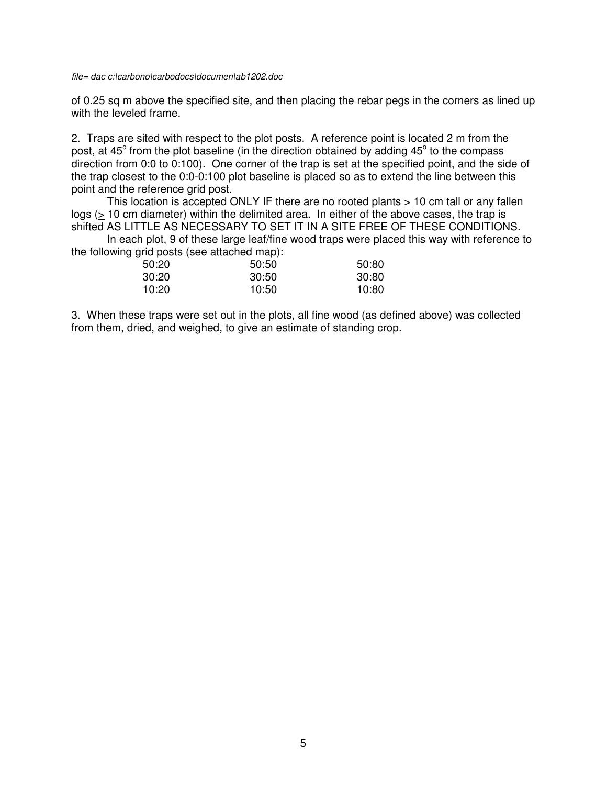of 0.25 sq m above the specified site, and then placing the rebar pegs in the corners as lined up with the leveled frame.

2. Traps are sited with respect to the plot posts. A reference point is located 2 m from the post, at 45 $^{\circ}$  from the plot baseline (in the direction obtained by adding 45 $^{\circ}$  to the compass direction from 0:0 to 0:100). One corner of the trap is set at the specified point, and the side of the trap closest to the 0:0-0:100 plot baseline is placed so as to extend the line between this point and the reference grid post.

This location is accepted ONLY IF there are no rooted plants  $\geq 10$  cm tall or any fallen logs (> 10 cm diameter) within the delimited area. In either of the above cases, the trap is shifted AS LITTLE AS NECESSARY TO SET IT IN A SITE FREE OF THESE CONDITIONS.

 In each plot, 9 of these large leaf/fine wood traps were placed this way with reference to the following grid posts (see attached map):

| ັ     |       |       |
|-------|-------|-------|
| 50:20 | 50:50 | 50:80 |
| 30:20 | 30:50 | 30:80 |
| 10:20 | 10:50 | 10:80 |

3. When these traps were set out in the plots, all fine wood (as defined above) was collected from them, dried, and weighed, to give an estimate of standing crop.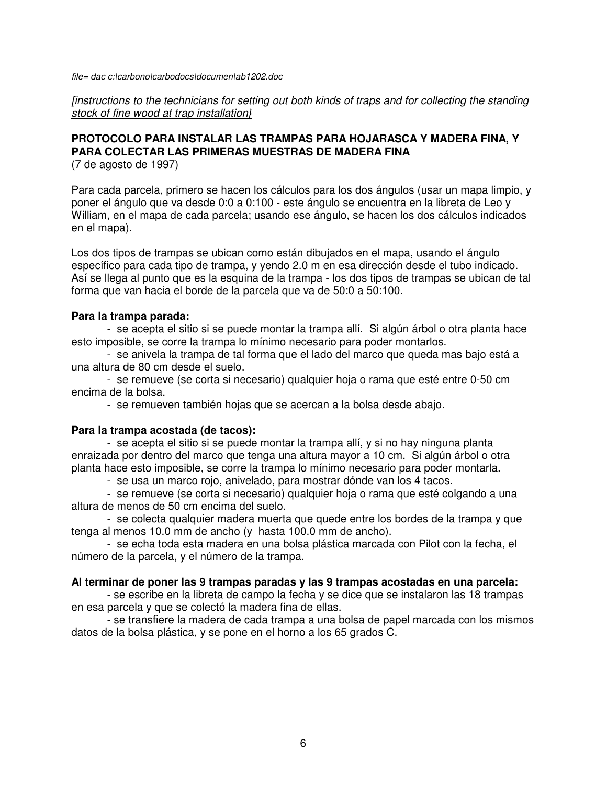[instructions to the technicians for setting out both kinds of traps and for collecting the standing stock of fine wood at trap installation}

# **PROTOCOLO PARA INSTALAR LAS TRAMPAS PARA HOJARASCA Y MADERA FINA, Y PARA COLECTAR LAS PRIMERAS MUESTRAS DE MADERA FINA**

(7 de agosto de 1997)

Para cada parcela, primero se hacen los cálculos para los dos ángulos (usar un mapa limpio, y poner el ángulo que va desde 0:0 a 0:100 - este ángulo se encuentra en la libreta de Leo y William, en el mapa de cada parcela; usando ese ángulo, se hacen los dos cálculos indicados en el mapa).

Los dos tipos de trampas se ubican como están dibujados en el mapa, usando el ángulo específico para cada tipo de trampa, y yendo 2.0 m en esa dirección desde el tubo indicado. Así se llega al punto que es la esquina de la trampa - los dos tipos de trampas se ubican de tal forma que van hacia el borde de la parcela que va de 50:0 a 50:100.

#### **Para la trampa parada:**

 - se acepta el sitio si se puede montar la trampa allí. Si algún árbol o otra planta hace esto imposible, se corre la trampa lo mínimo necesario para poder montarlos.

 - se anivela la trampa de tal forma que el lado del marco que queda mas bajo está a una altura de 80 cm desde el suelo.

 - se remueve (se corta si necesario) qualquier hoja o rama que esté entre 0-50 cm encima de la bolsa.

- se remueven también hojas que se acercan a la bolsa desde abajo.

#### **Para la trampa acostada (de tacos):**

 - se acepta el sitio si se puede montar la trampa allí, y si no hay ninguna planta enraizada por dentro del marco que tenga una altura mayor a 10 cm. Si algún árbol o otra planta hace esto imposible, se corre la trampa lo mínimo necesario para poder montarla.

- se usa un marco rojo, anivelado, para mostrar dónde van los 4 tacos.

 - se remueve (se corta si necesario) qualquier hoja o rama que esté colgando a una altura de menos de 50 cm encima del suelo.

 - se colecta qualquier madera muerta que quede entre los bordes de la trampa y que tenga al menos 10.0 mm de ancho (y hasta 100.0 mm de ancho).

 - se echa toda esta madera en una bolsa plástica marcada con Pilot con la fecha, el número de la parcela, y el número de la trampa.

#### **Al terminar de poner las 9 trampas paradas y las 9 trampas acostadas en una parcela:**

 - se escribe en la libreta de campo la fecha y se dice que se instalaron las 18 trampas en esa parcela y que se colectó la madera fina de ellas.

 - se transfiere la madera de cada trampa a una bolsa de papel marcada con los mismos datos de la bolsa plástica, y se pone en el horno a los 65 grados C.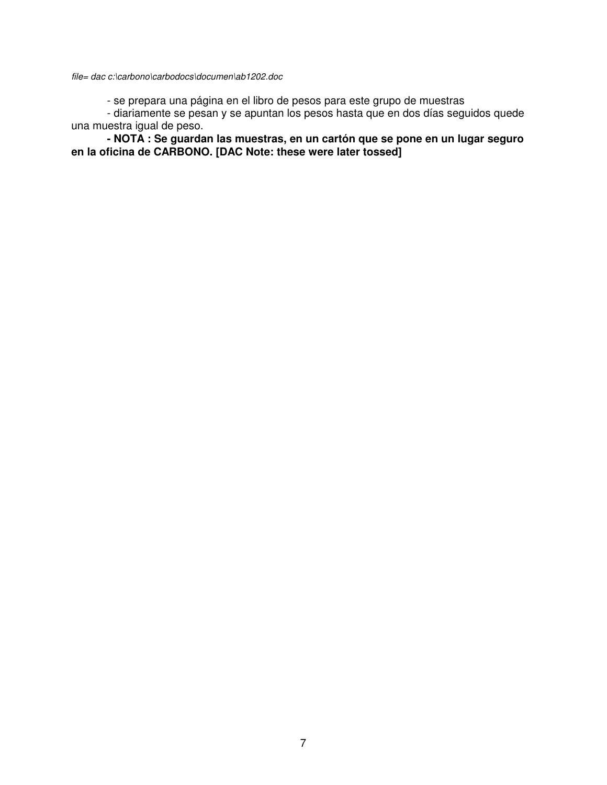- se prepara una página en el libro de pesos para este grupo de muestras

 - diariamente se pesan y se apuntan los pesos hasta que en dos días seguidos quede una muestra igual de peso.

 **- NOTA : Se guardan las muestras, en un cartón que se pone en un lugar seguro en la oficina de CARBONO. [DAC Note: these were later tossed]**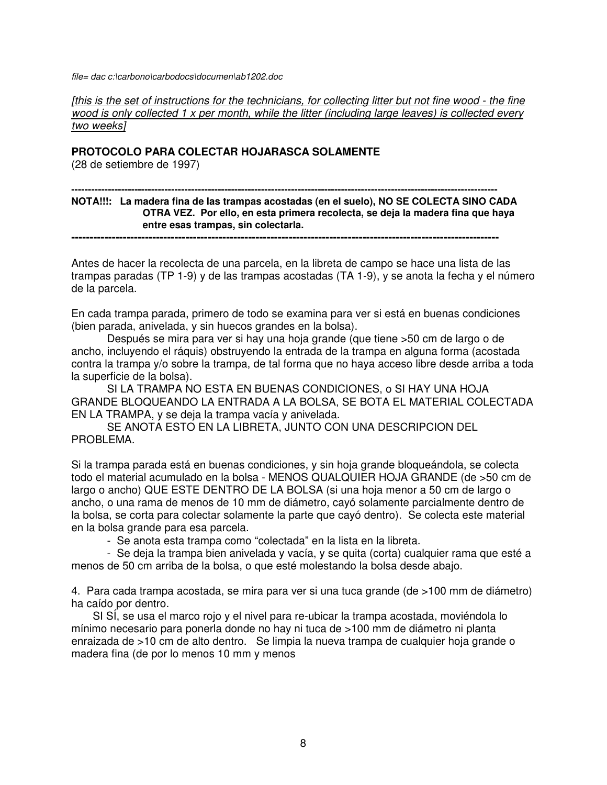[this is the set of instructions for the technicians, for collecting litter but not fine wood - the fine wood is only collected 1 x per month, while the litter (including large leaves) is collected every two weeks]

#### **PROTOCOLO PARA COLECTAR HOJARASCA SOLAMENTE**

(28 de setiembre de 1997)

**--------------------------------------------------------------------------------------------------------------------------------** 

**NOTA!!!: La madera fina de las trampas acostadas (en el suelo), NO SE COLECTA SINO CADA OTRA VEZ. Por ello, en esta primera recolecta, se deja la madera fina que haya entre esas trampas, sin colectarla.** 

**--------------------------------------------------------------------------------------------------------------------** 

Antes de hacer la recolecta de una parcela, en la libreta de campo se hace una lista de las trampas paradas (TP 1-9) y de las trampas acostadas (TA 1-9), y se anota la fecha y el número de la parcela.

En cada trampa parada, primero de todo se examina para ver si está en buenas condiciones (bien parada, anivelada, y sin huecos grandes en la bolsa).

 Después se mira para ver si hay una hoja grande (que tiene >50 cm de largo o de ancho, incluyendo el ráquis) obstruyendo la entrada de la trampa en alguna forma (acostada contra la trampa y/o sobre la trampa, de tal forma que no haya acceso libre desde arriba a toda la superficie de la bolsa).

 SI LA TRAMPA NO ESTA EN BUENAS CONDICIONES, o SI HAY UNA HOJA GRANDE BLOQUEANDO LA ENTRADA A LA BOLSA, SE BOTA EL MATERIAL COLECTADA EN LA TRAMPA, y se deja la trampa vacía y anivelada.

 SE ANOTA ESTO EN LA LIBRETA, JUNTO CON UNA DESCRIPCION DEL PROBLEMA.

Si la trampa parada está en buenas condiciones, y sin hoja grande bloqueándola, se colecta todo el material acumulado en la bolsa - MENOS QUALQUIER HOJA GRANDE (de >50 cm de largo o ancho) QUE ESTE DENTRO DE LA BOLSA (si una hoja menor a 50 cm de largo o ancho, o una rama de menos de 10 mm de diámetro, cayó solamente parcialmente dentro de la bolsa, se corta para colectar solamente la parte que cayó dentro). Se colecta este material en la bolsa grande para esa parcela.

- Se anota esta trampa como "colectada" en la lista en la libreta.

 - Se deja la trampa bien anivelada y vacía, y se quita (corta) cualquier rama que esté a menos de 50 cm arriba de la bolsa, o que esté molestando la bolsa desde abajo.

4. Para cada trampa acostada, se mira para ver si una tuca grande (de >100 mm de diámetro) ha caído por dentro.

 SI SÍ, se usa el marco rojo y el nivel para re-ubicar la trampa acostada, moviéndola lo mínimo necesario para ponerla donde no hay ni tuca de >100 mm de diámetro ni planta enraizada de >10 cm de alto dentro. Se limpia la nueva trampa de cualquier hoja grande o madera fina (de por lo menos 10 mm y menos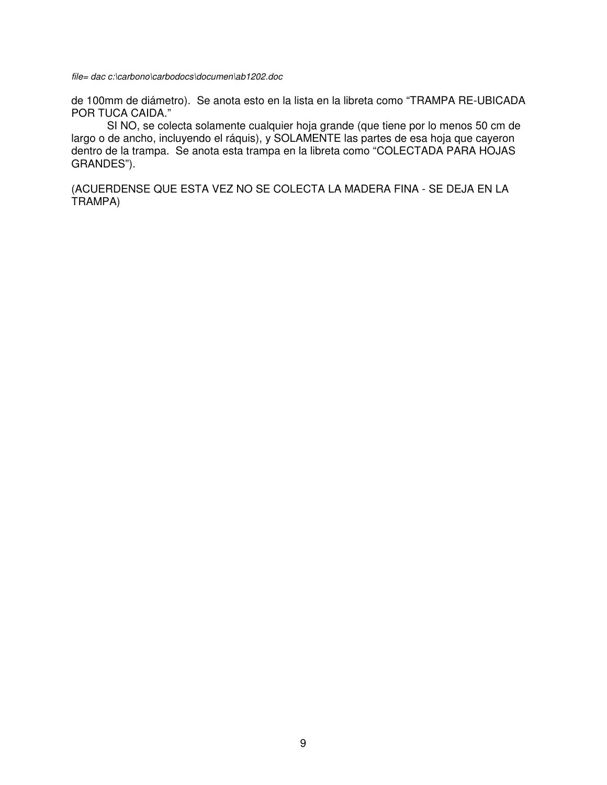de 100mm de diámetro). Se anota esto en la lista en la libreta como "TRAMPA RE-UBICADA POR TUCA CAIDA."

 SI NO, se colecta solamente cualquier hoja grande (que tiene por lo menos 50 cm de largo o de ancho, incluyendo el ráquis), y SOLAMENTE las partes de esa hoja que cayeron dentro de la trampa. Se anota esta trampa en la libreta como "COLECTADA PARA HOJAS GRANDES").

(ACUERDENSE QUE ESTA VEZ NO SE COLECTA LA MADERA FINA - SE DEJA EN LA TRAMPA)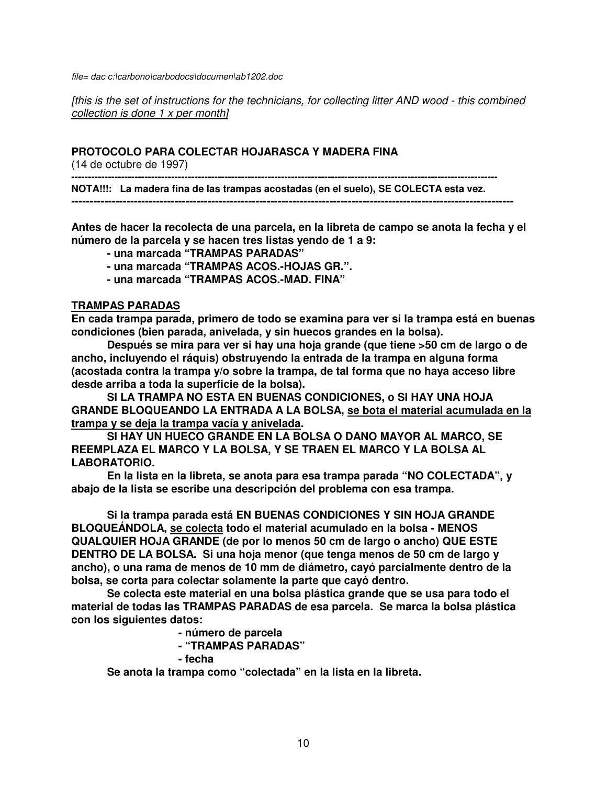[this is the set of instructions for the technicians, for collecting litter AND wood - this combined collection is done 1 x per month]

#### **PROTOCOLO PARA COLECTAR HOJARASCA Y MADERA FINA**

(14 de octubre de 1997)

**--------------------------------------------------------------------------------------------------------------------------------** 

**NOTA!!!: La madera fina de las trampas acostadas (en el suelo), SE COLECTA esta vez.** 

**Antes de hacer la recolecta de una parcela, en la libreta de campo se anota la fecha y el número de la parcela y se hacen tres listas yendo de 1 a 9:** 

- **una marcada "TRAMPAS PARADAS"**
- **una marcada "TRAMPAS ACOS.-HOJAS GR.".**
- **una marcada "TRAMPAS ACOS.-MAD. FINA"**

#### **TRAMPAS PARADAS**

**En cada trampa parada, primero de todo se examina para ver si la trampa está en buenas condiciones (bien parada, anivelada, y sin huecos grandes en la bolsa).** 

 **Después se mira para ver si hay una hoja grande (que tiene >50 cm de largo o de ancho, incluyendo el ráquis) obstruyendo la entrada de la trampa en alguna forma (acostada contra la trampa y/o sobre la trampa, de tal forma que no haya acceso libre desde arriba a toda la superficie de la bolsa).** 

 **SI LA TRAMPA NO ESTA EN BUENAS CONDICIONES, o SI HAY UNA HOJA GRANDE BLOQUEANDO LA ENTRADA A LA BOLSA, se bota el material acumulada en la trampa y se deja la trampa vacía y anivelada.** 

 **SI HAY UN HUECO GRANDE EN LA BOLSA O DANO MAYOR AL MARCO, SE REEMPLAZA EL MARCO Y LA BOLSA, Y SE TRAEN EL MARCO Y LA BOLSA AL LABORATORIO.** 

 **En la lista en la libreta, se anota para esa trampa parada "NO COLECTADA", y abajo de la lista se escribe una descripción del problema con esa trampa.** 

 **Si la trampa parada está EN BUENAS CONDICIONES Y SIN HOJA GRANDE BLOQUEÁNDOLA, se colecta todo el material acumulado en la bolsa - MENOS QUALQUIER HOJA GRANDE (de por lo menos 50 cm de largo o ancho) QUE ESTE DENTRO DE LA BOLSA. Si una hoja menor (que tenga menos de 50 cm de largo y ancho), o una rama de menos de 10 mm de diámetro, cayó parcialmente dentro de la bolsa, se corta para colectar solamente la parte que cayó dentro.** 

 **Se colecta este material en una bolsa plástica grande que se usa para todo el material de todas las TRAMPAS PARADAS de esa parcela. Se marca la bolsa plástica con los siguientes datos:** 

 **- número de parcela** 

 **- "TRAMPAS PARADAS"** 

 **- fecha** 

 **Se anota la trampa como "colectada" en la lista en la libreta.**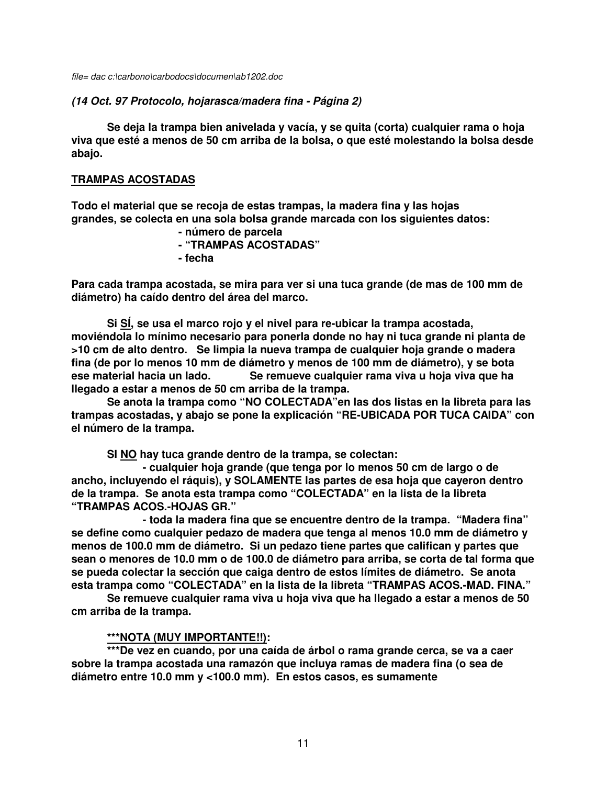#### **(14 Oct. 97 Protocolo, hojarasca/madera fina - Página 2)**

 **Se deja la trampa bien anivelada y vacía, y se quita (corta) cualquier rama o hoja viva que esté a menos de 50 cm arriba de la bolsa, o que esté molestando la bolsa desde abajo.** 

#### **TRAMPAS ACOSTADAS**

**Todo el material que se recoja de estas trampas, la madera fina y las hojas grandes, se colecta en una sola bolsa grande marcada con los siguientes datos:** 

- **número de parcela**
- **"TRAMPAS ACOSTADAS"**
- **fecha**

**Para cada trampa acostada, se mira para ver si una tuca grande (de mas de 100 mm de diámetro) ha caído dentro del área del marco.** 

 **Si SÍ, se usa el marco rojo y el nivel para re-ubicar la trampa acostada, moviéndola lo mínimo necesario para ponerla donde no hay ni tuca grande ni planta de >10 cm de alto dentro. Se limpia la nueva trampa de cualquier hoja grande o madera fina (de por lo menos 10 mm de diámetro y menos de 100 mm de diámetro), y se bota ese material hacia un lado. Se remueve cualquier rama viva u hoja viva que ha llegado a estar a menos de 50 cm arriba de la trampa.** 

 **Se anota la trampa como "NO COLECTADA"en las dos listas en la libreta para las trampas acostadas, y abajo se pone la explicación "RE-UBICADA POR TUCA CAIDA" con el número de la trampa.** 

 **SI NO hay tuca grande dentro de la trampa, se colectan:** 

 **- cualquier hoja grande (que tenga por lo menos 50 cm de largo o de ancho, incluyendo el ráquis), y SOLAMENTE las partes de esa hoja que cayeron dentro de la trampa. Se anota esta trampa como "COLECTADA" en la lista de la libreta "TRAMPAS ACOS.-HOJAS GR."** 

 **- toda la madera fina que se encuentre dentro de la trampa. "Madera fina" se define como cualquier pedazo de madera que tenga al menos 10.0 mm de diámetro y menos de 100.0 mm de diámetro. Si un pedazo tiene partes que califican y partes que sean o menores de 10.0 mm o de 100.0 de diámetro para arriba, se corta de tal forma que se pueda colectar la sección que caiga dentro de estos límites de diámetro. Se anota esta trampa como "COLECTADA" en la lista de la libreta "TRAMPAS ACOS.-MAD. FINA."** 

 **Se remueve cualquier rama viva u hoja viva que ha llegado a estar a menos de 50 cm arriba de la trampa.** 

## **\*\*\*NOTA (MUY IMPORTANTE!!):**

 **\*\*\*De vez en cuando, por una caída de árbol o rama grande cerca, se va a caer sobre la trampa acostada una ramazón que incluya ramas de madera fina (o sea de diámetro entre 10.0 mm y <100.0 mm). En estos casos, es sumamente**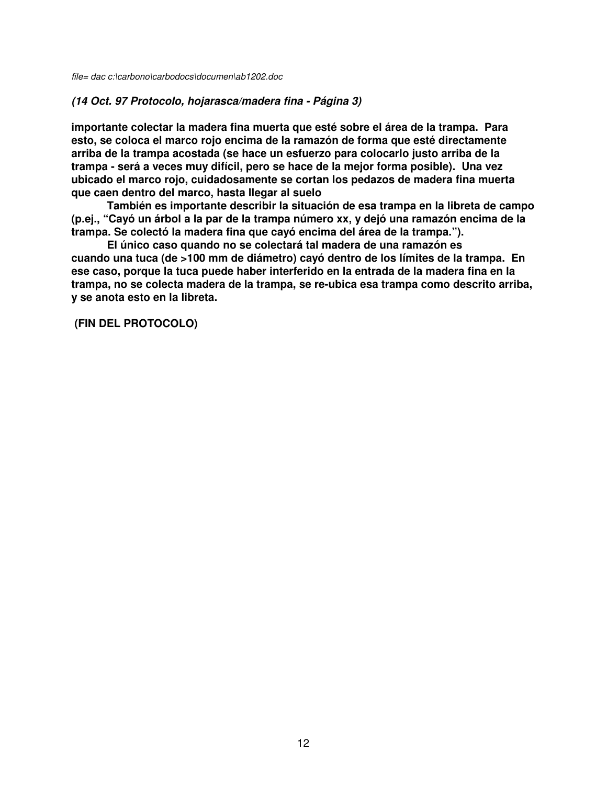## **(14 Oct. 97 Protocolo, hojarasca/madera fina - Página 3)**

**importante colectar la madera fina muerta que esté sobre el área de la trampa. Para esto, se coloca el marco rojo encima de la ramazón de forma que esté directamente arriba de la trampa acostada (se hace un esfuerzo para colocarlo justo arriba de la trampa - será a veces muy difícil, pero se hace de la mejor forma posible). Una vez ubicado el marco rojo, cuidadosamente se cortan los pedazos de madera fina muerta que caen dentro del marco, hasta llegar al suelo** 

 **También es importante describir la situación de esa trampa en la libreta de campo (p.ej., "Cayó un árbol a la par de la trampa número xx, y dejó una ramazón encima de la trampa. Se colectó la madera fina que cayó encima del área de la trampa.").** 

 **El único caso quando no se colectará tal madera de una ramazón es cuando una tuca (de >100 mm de diámetro) cayó dentro de los límites de la trampa. En ese caso, porque la tuca puede haber interferido en la entrada de la madera fina en la trampa, no se colecta madera de la trampa, se re-ubica esa trampa como descrito arriba, y se anota esto en la libreta.** 

 **(FIN DEL PROTOCOLO)**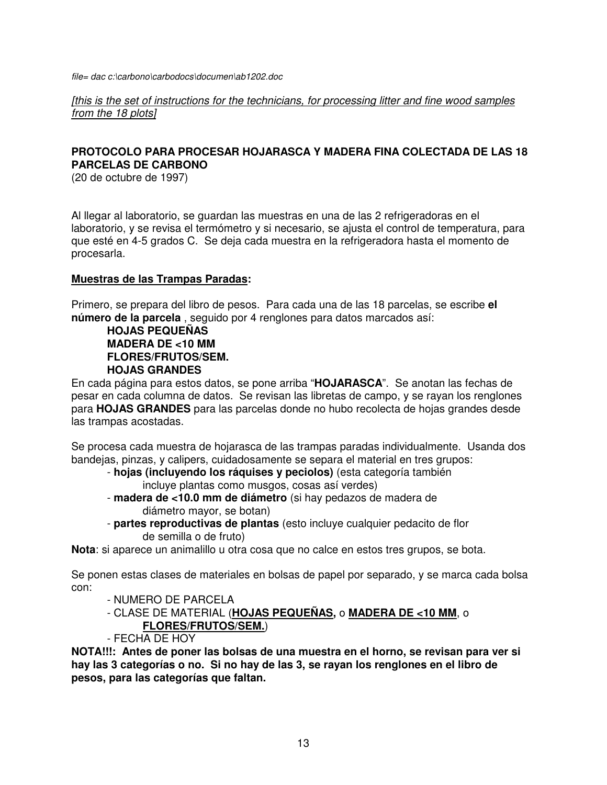[this is the set of instructions for the technicians, for processing litter and fine wood samples from the 18 plots]

## **PROTOCOLO PARA PROCESAR HOJARASCA Y MADERA FINA COLECTADA DE LAS 18 PARCELAS DE CARBONO**

(20 de octubre de 1997)

Al llegar al laboratorio, se guardan las muestras en una de las 2 refrigeradoras en el laboratorio, y se revisa el termómetro y si necesario, se ajusta el control de temperatura, para que esté en 4-5 grados C. Se deja cada muestra en la refrigeradora hasta el momento de procesarla.

#### **Muestras de las Trampas Paradas:**

Primero, se prepara del libro de pesos. Para cada una de las 18 parcelas, se escribe **el número de la parcela** , seguido por 4 renglones para datos marcados así:

## **HOJAS PEQUEÑAS MADERA DE <10 MM FLORES/FRUTOS/SEM. HOJAS GRANDES**

En cada página para estos datos, se pone arriba "**HOJARASCA**". Se anotan las fechas de pesar en cada columna de datos. Se revisan las libretas de campo, y se rayan los renglones para **HOJAS GRANDES** para las parcelas donde no hubo recolecta de hojas grandes desde las trampas acostadas.

Se procesa cada muestra de hojarasca de las trampas paradas individualmente. Usanda dos bandejas, pinzas, y calipers, cuidadosamente se separa el material en tres grupos:

- **hojas (incluyendo los ráquises y peciolos)** (esta categoría también

- incluye plantas como musgos, cosas así verdes)
- **madera de <10.0 mm de diámetro** (si hay pedazos de madera de diámetro mayor, se botan)
- **partes reproductivas de plantas** (esto incluye cualquier pedacito de flor de semilla o de fruto)

**Nota**: si aparece un animalillo u otra cosa que no calce en estos tres grupos, se bota.

Se ponen estas clases de materiales en bolsas de papel por separado, y se marca cada bolsa con:

- NUMERO DE PARCELA

 - CLASE DE MATERIAL (**HOJAS PEQUEÑAS,** o **MADERA DE <10 MM**, o  **FLORES/FRUTOS/SEM.**)

- FECHA DE HOY

**NOTA!!!: Antes de poner las bolsas de una muestra en el horno, se revisan para ver si hay las 3 categorías o no. Si no hay de las 3, se rayan los renglones en el libro de pesos, para las categorías que faltan.**